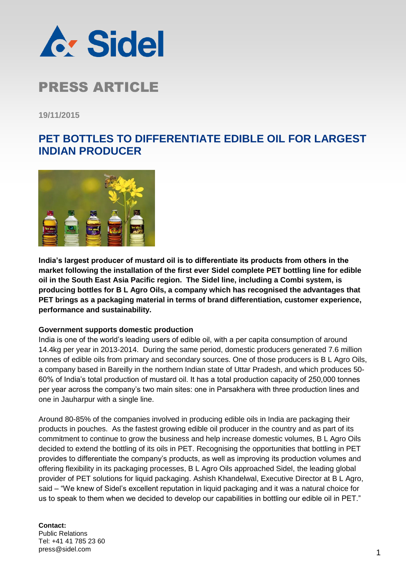

**19/11/2015**

### **PET BOTTLES TO DIFFERENTIATE EDIBLE OIL FOR LARGEST INDIAN PRODUCER**



**India's largest producer of mustard oil is to differentiate its products from others in the market following the installation of the first ever Sidel complete PET bottling line for edible oil in the South East Asia Pacific region. The Sidel line, including a Combi system, is producing bottles for B L Agro Oils, a company which has recognised the advantages that PET brings as a packaging material in terms of brand differentiation, customer experience, performance and sustainability.**

### **Government supports domestic production**

India is one of the world's leading users of edible oil, with a per capita consumption of around 14.4kg per year in 2013-2014. During the same period, domestic producers generated 7.6 million tonnes of edible oils from primary and secondary sources. One of those producers is B L Agro Oils, a company based in Bareilly in the northern Indian state of Uttar Pradesh, and which produces 50- 60% of India's total production of mustard oil. It has a total production capacity of 250,000 tonnes per year across the company's two main sites: one in Parsakhera with three production lines and one in Jauharpur with a single line.

Around 80-85% of the companies involved in producing edible oils in India are packaging their products in pouches. As the fastest growing edible oil producer in the country and as part of its commitment to continue to grow the business and help increase domestic volumes, B L Agro Oils decided to extend the bottling of its oils in PET. Recognising the opportunities that bottling in PET provides to differentiate the company's products, as well as improving its production volumes and offering flexibility in its packaging processes, B L Agro Oils approached Sidel, the leading global provider of PET solutions for liquid packaging. Ashish Khandelwal, Executive Director at B L Agro, said – "We knew of Sidel's excellent reputation in liquid packaging and it was a natural choice for us to speak to them when we decided to develop our capabilities in bottling our edible oil in PET."

#### **Contact:** Public Relations Tel: +41 41 785 23 60 press@sidel.com 2009 12 and 2009 12 and 2009 12 and 2009 12 and 2009 12 and 2009 12 and 2009 12 and 2009 12 and 2009 1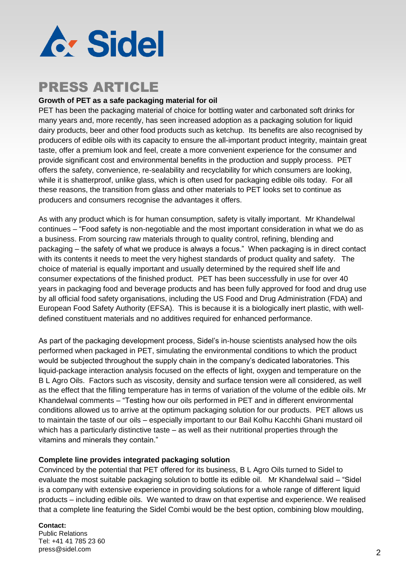

### **Growth of PET as a safe packaging material for oil**

PET has been the packaging material of choice for bottling water and carbonated soft drinks for many years and, more recently, has seen increased adoption as a packaging solution for liquid dairy products, beer and other food products such as ketchup. Its benefits are also recognised by producers of edible oils with its capacity to ensure the all-important product integrity, maintain great taste, offer a premium look and feel, create a more convenient experience for the consumer and provide significant cost and environmental benefits in the production and supply process. PET offers the safety, convenience, re-sealability and recyclability for which consumers are looking, while it is shatterproof, unlike glass, which is often used for packaging edible oils today.For all these reasons, the transition from glass and other materials to PET looks set to continue as producers and consumers recognise the advantages it offers.

As with any product which is for human consumption, safety is vitally important. Mr Khandelwal continues – "Food safety is non-negotiable and the most important consideration in what we do as a business. From sourcing raw materials through to quality control, refining, blending and packaging – the safety of what we produce is always a focus." When packaging is in direct contact with its contents it needs to meet the very highest standards of product quality and safety. The choice of material is equally important and usually determined by the required shelf life and consumer expectations of the finished product. PET has been successfully in use for over 40 years in packaging food and beverage products and has been fully approved for food and drug use by all official food safety organisations, including the US Food and Drug Administration [\(FDA\)](http://www.fda.gov/) and European Food Safety Authority [\(EFSA\)](http://www.efsa.europa.eu/). This is because it is a biologically inert plastic, with welldefined constituent materials and no additives required for enhanced performance.

As part of the packaging development process, Sidel's in-house scientists analysed how the oils performed when packaged in PET, simulating the environmental conditions to which the product would be subjected throughout the supply chain in the company's dedicated laboratories. This liquid-package interaction analysis focused on the effects of light, oxygen and temperature on the B L Agro Oils. Factors such as viscosity, density and surface tension were all considered, as well as the effect that the filling temperature has in terms of variation of the volume of the edible oils. Mr Khandelwal comments – "Testing how our oils performed in PET and in different environmental conditions allowed us to arrive at the optimum packaging solution for our products. PET allows us to maintain the taste of our oils – especially important to our Bail Kolhu Kacchhi Ghani mustard oil which has a particularly distinctive taste – as well as their nutritional properties through the vitamins and minerals they contain."

### **Complete line provides integrated packaging solution**

Convinced by the potential that PET offered for its business, B L Agro Oils turned to Sidel to evaluate the most suitable packaging solution to bottle its edible oil. Mr Khandelwal said – "Sidel is a company with extensive experience in providing solutions for a whole range of different liquid products – including edible oils. We wanted to draw on that expertise and experience. We realised that a complete line featuring the Sidel Combi would be the best option, combining blow moulding,

**Contact:** Public Relations Tel: +41 41 785 23 60 press@sidel.com 2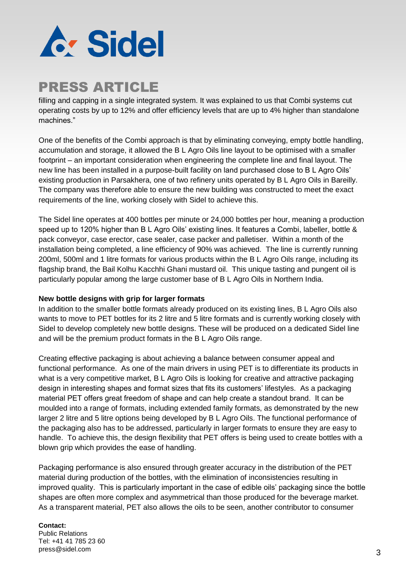

filling and capping in a single integrated system. It was explained to us that Combi systems cut operating costs by up to 12% and offer efficiency levels that are up to 4% higher than standalone machines."

One of the benefits of the Combi approach is that by eliminating conveying, empty bottle handling, accumulation and storage, it allowed the B L Agro Oils line layout to be optimised with a smaller footprint – an important consideration when engineering the complete line and final layout. The new line has been installed in a purpose-built facility on land purchased close to B L Agro Oils' existing production in Parsakhera, one of two refinery units operated by B L Agro Oils in Bareilly. The company was therefore able to ensure the new building was constructed to meet the exact requirements of the line, working closely with Sidel to achieve this.

The Sidel line operates at 400 bottles per minute or 24,000 bottles per hour, meaning a production speed up to 120% higher than B L Agro Oils' existing lines. It features a Combi, labeller, bottle & pack conveyor, case erector, case sealer, case packer and palletiser. Within a month of the installation being completed, a line efficiency of 90% was achieved. The line is currently running 200ml, 500ml and 1 litre formats for various products within the B L Agro Oils range, including its flagship brand, the Bail Kolhu Kacchhi Ghani mustard oil. This unique tasting and pungent oil is particularly popular among the large customer base of B L Agro Oils in Northern India.

### **New bottle designs with grip for larger formats**

In addition to the smaller bottle formats already produced on its existing lines, B L Agro Oils also wants to move to PET bottles for its 2 litre and 5 litre formats and is currently working closely with Sidel to develop completely new bottle designs. These will be produced on a dedicated Sidel line and will be the premium product formats in the B L Agro Oils range.

Creating effective packaging is about achieving a balance between consumer appeal and functional performance. As one of the main drivers in using PET is to differentiate its products in what is a very competitive market. B L Agro Oils is looking for creative and attractive packaging design in interesting shapes and format sizes that fits its customers' lifestyles. As a packaging material PET offers great freedom of shape and can help create a standout brand. It can be moulded into a range of formats, including extended family formats, as demonstrated by the new larger 2 litre and 5 litre options being developed by B L Agro Oils. The functional performance of the packaging also has to be addressed, particularly in larger formats to ensure they are easy to handle. To achieve this, the design flexibility that PET offers is being used to create bottles with a blown grip which provides the ease of handling.

Packaging performance is also ensured through greater accuracy in the distribution of the PET material during production of the bottles, with the elimination of inconsistencies resulting in improved quality. This is particularly important in the case of edible oils' packaging since the bottle shapes are often more complex and asymmetrical than those produced for the beverage market. As a transparent material, PET also allows the oils to be seen, another contributor to consumer

#### **Contact:**

Public Relations Tel: +41 41 785 23 60 press@sidel.com 3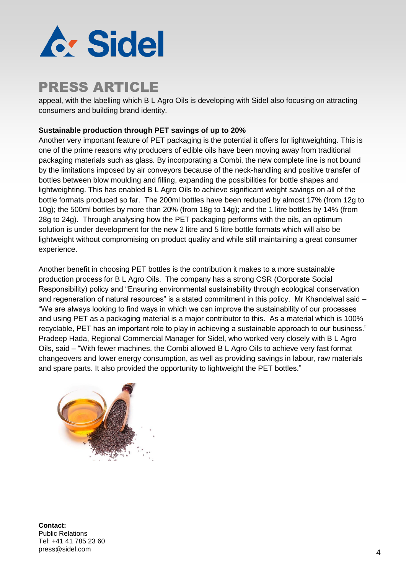

appeal, with the labelling which B L Agro Oils is developing with Sidel also focusing on attracting consumers and building brand identity.

### **Sustainable production through PET savings of up to 20%**

Another very important feature of PET packaging is the potential it offers for lightweighting. This is one of the prime reasons why producers of edible oils have been moving away from traditional packaging materials such as glass. By incorporating a Combi, the new complete line is not bound by the limitations imposed by air conveyors because of the neck-handling and positive transfer of bottles between blow moulding and filling, expanding the possibilities for bottle shapes and lightweighting. This has enabled B L Agro Oils to achieve significant weight savings on all of the bottle formats produced so far. The 200ml bottles have been reduced by almost 17% (from 12g to 10g); the 500ml bottles by more than 20% (from 18g to 14g); and the 1 litre bottles by 14% (from 28g to 24g). Through analysing how the PET packaging performs with the oils, an optimum solution is under development for the new 2 litre and 5 litre bottle formats which will also be lightweight without compromising on product quality and while still maintaining a great consumer experience.

Another benefit in choosing PET bottles is the contribution it makes to a more sustainable production process for B L Agro Oils. The company has a strong CSR (Corporate Social Responsibility) policy and "Ensuring environmental sustainability through ecological conservation and regeneration of natural resources" is a stated commitment in this policy. Mr Khandelwal said -"We are always looking to find ways in which we can improve the sustainability of our processes and using PET as a packaging material is a major contributor to this. As a material which is 100% recyclable, PET has an important role to play in achieving a sustainable approach to our business." Pradeep Hada, Regional Commercial Manager for Sidel, who worked very closely with B L Agro Oils, said – "With fewer machines, the Combi allowed B L Agro Oils to achieve very fast format changeovers and lower energy consumption, as well as providing savings in labour, raw materials and spare parts. It also provided the opportunity to lightweight the PET bottles."



**Contact:** Public Relations Tel: +41 41 785 23 60 press@sidel.com and the set of the set of the set of the set of the set of the set of the set of the set of the set of the set of the set of the set of the set of the set of the set of the set of the set of the set of the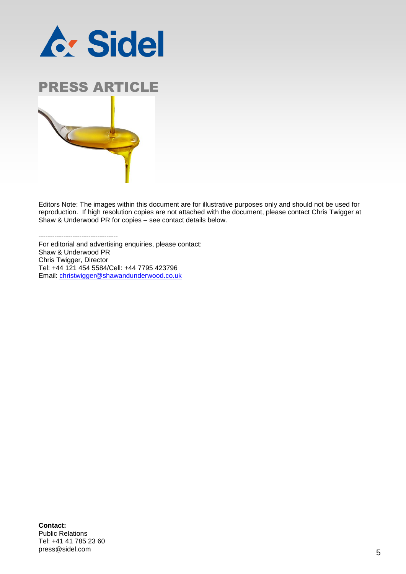



Editors Note: The images within this document are for illustrative purposes only and should not be used for reproduction. If high resolution copies are not attached with the document, please contact Chris Twigger at Shaw & Underwood PR for copies – see contact details below.

-----------------------------------

For editorial and advertising enquiries, please contact: Shaw & Underwood PR Chris Twigger, Director Tel: +44 121 454 5584/Cell: +44 7795 423796 Email: [christwigger@shawandunderwood.co.uk](mailto:christwigger@shawandunderwood.co.uk)

**Contact:** Public Relations Tel: +41 41 785 23 60 press@sidel.com 5